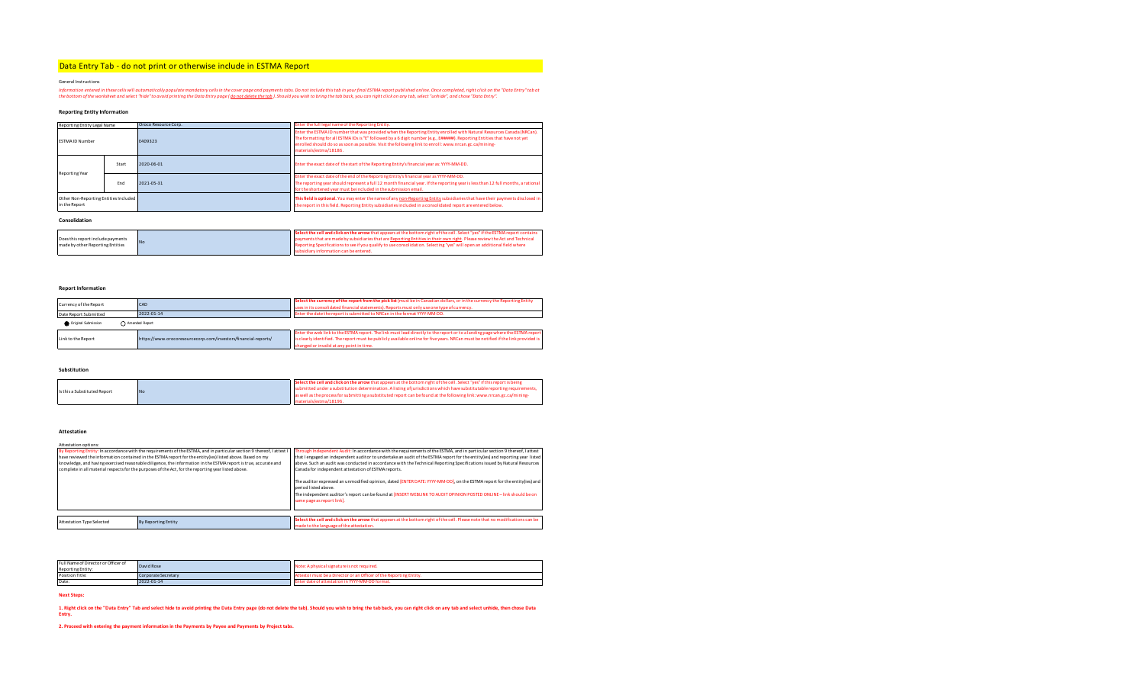# Data Entry Tab - do not print or otherwise include in ESTMA Report <sup>1</sup>

### General Instructions

information entered in thesecels will automatically populate mandatory cells in the cover page and poyments tabs. Do not include this table your find is thAt report published online. Once completed, right client of the com

## **Reporting Entity Information**

| Reporting Entity Legal Name                            |       | Oroco Resource Corp. | Enter the full legal name of the Reporting Entity.                                                                                                                                                                                                                                                                                                                                    |  |  |  |  |
|--------------------------------------------------------|-------|----------------------|---------------------------------------------------------------------------------------------------------------------------------------------------------------------------------------------------------------------------------------------------------------------------------------------------------------------------------------------------------------------------------------|--|--|--|--|
| <b>FSTMAID Number</b>                                  |       | E409323              | Enter the ESTMAID number that was provided when the Reporting Entity enrolled with Natural Resources Canada (NRCan).<br>The formatting for all ESTMAIDs is "E" followed by a 6 digit number (e.g., E######). Reporting Entities that have not yet<br>enrolled should do so as soon as possible. Visit the following link to enroll: www.nrcan.gc.ca/mining-<br>materials/estma/18186. |  |  |  |  |
|                                                        | Start | 2020-06-01           | Enter the exact date of the start of the Reporting Entity's financial year as: YYYY-MM-DD.                                                                                                                                                                                                                                                                                            |  |  |  |  |
| Reporting Year                                         | Fnd   | 2021-05-31           | Enter the exact date of the end of the Reporting Entity's financial year as YYYY-MM-DD.<br>The reporting year should represent a full 12 month financial year. If the reporting year is less than 12 full months, a rational<br>for the shortened year must be included in the submission email.                                                                                      |  |  |  |  |
| Other Non-Reporting Entities Included<br>in the Report |       |                      | This field is optional. You may enter the name of any non-Reporting Entity subsidiaries that have their payments disclosed in<br>the report in this field. Reporting Entity subsidiaries included in a consolidated report are entered below.                                                                                                                                         |  |  |  |  |

**Consolidation**

| Does this report include payments<br>made by other Reporting Entities | Select the cell and click on the arrow that appears at the bottom right of the cell. Select "yes" if the ESTMA report contains<br>payments that are made by subsidiaries that are Reporting Entities in their own right. Please review the Act and Technical<br>Reporting Specifications to see if you qualify to use consolidation. Selecting "yes" will open an additional field where |
|-----------------------------------------------------------------------|------------------------------------------------------------------------------------------------------------------------------------------------------------------------------------------------------------------------------------------------------------------------------------------------------------------------------------------------------------------------------------------|
|                                                                       | subsidiary information can be entered.                                                                                                                                                                                                                                                                                                                                                   |

#### **Report Information**

| Currency of the Report | CAD                                                            | Select the currency of the report from the pick list (must be in Canadian dollars, or in the currency the Reporting Entity<br>uses in its consolidated financial statements). Reports must only use one type of currency.                                                                                       |  |  |  |  |
|------------------------|----------------------------------------------------------------|-----------------------------------------------------------------------------------------------------------------------------------------------------------------------------------------------------------------------------------------------------------------------------------------------------------------|--|--|--|--|
| Date Report Submitted  | 2022-01-14                                                     | Enter the date the report is submitted to NRCan in the format YYYY-MM-DD.                                                                                                                                                                                                                                       |  |  |  |  |
| Original Submission    | Amended Report                                                 |                                                                                                                                                                                                                                                                                                                 |  |  |  |  |
| Link to the Report     | https://www.orocoresourcecorp.com/investors/financial-reports/ | Enter the web link to the ESTMA report. The link must lead directly to the report or to a landing page where the ESTMA report<br>is clearly identified. The report must be publicly available online for five years. NRCan must be notified if the link provided is<br>changed or invalid at any point in time. |  |  |  |  |

**Substitution**

| ubmitted under a substitution determination. A listing of iurisdictions which have substitutable reporting requirements.<br>Is this a Substituted Report<br><b>N</b><br>as well as the process for submitting a substituted report can be found at the following link: www.nrcan.gc.ca/mining- | Select the cell and click on the arrow that appears at the bottom right of the cell. Select "yes" if this report is being |
|------------------------------------------------------------------------------------------------------------------------------------------------------------------------------------------------------------------------------------------------------------------------------------------------|---------------------------------------------------------------------------------------------------------------------------|
|------------------------------------------------------------------------------------------------------------------------------------------------------------------------------------------------------------------------------------------------------------------------------------------------|---------------------------------------------------------------------------------------------------------------------------|

## **Attestation**

| Attestation options:                                                                                                                                                                                                                                                                                                                                                                                                                                          |                                                                                                                                                                                                                                                                                                                                                                                                                                                                                                                                                                                                                                                                                                                                                        |
|---------------------------------------------------------------------------------------------------------------------------------------------------------------------------------------------------------------------------------------------------------------------------------------------------------------------------------------------------------------------------------------------------------------------------------------------------------------|--------------------------------------------------------------------------------------------------------------------------------------------------------------------------------------------------------------------------------------------------------------------------------------------------------------------------------------------------------------------------------------------------------------------------------------------------------------------------------------------------------------------------------------------------------------------------------------------------------------------------------------------------------------------------------------------------------------------------------------------------------|
| By Reporting Entity: In accordance with the requirements of the ESTMA, and in particular section 9 thereof, I attest I<br>have reviewed the information contained in the ESTMA report for the entitylies) listed above. Based on my<br>knowledge, and having exercised reasonable diligence, the information in the ESTMA report is true, accurate and<br>complete in all material respects for the purposes of the Act, for the reporting year listed above. | Through Independent Audit: In accordance with the requirements of the ESTMA, and in particular section 9 thereof, I attest<br>that I engaged an independent auditor to undertake an audit of the ESTMA report for the entity(ies) and reporting year listed<br>above. Such an audit was conducted in accordance with the Technical Reporting Specifications issued by Natural Resources<br>Canada for independent attestation of ESTMA reports.<br>The auditor expressed an unmodified opinion, dated [ENTER DATE: YYYY-MM-DD], on the ESTMA report for the entity(ies) and<br>period listed above.<br>The independent auditor's report can be found at [INSERT WEBLINK TO AUDIT OPINION POSTED ONLINE-link should be on<br>same page as report linkl. |
|                                                                                                                                                                                                                                                                                                                                                                                                                                                               |                                                                                                                                                                                                                                                                                                                                                                                                                                                                                                                                                                                                                                                                                                                                                        |
| <b>Attestation Type Selected</b><br>By Reporting Entity                                                                                                                                                                                                                                                                                                                                                                                                       | Select the cell and click on the arrow that appears at the bottom right of the cell. Please note that no modifications can be<br>made to the language of the attestation.                                                                                                                                                                                                                                                                                                                                                                                                                                                                                                                                                                              |

| Full Name of Director or Officer of<br>Reporting Entity: | David Rose          | Note: A physical signature is not required.                        |  |  |  |  |
|----------------------------------------------------------|---------------------|--------------------------------------------------------------------|--|--|--|--|
| Position Title:                                          | Corporate Secretary | Attestor must be a Director or an Officer of the Reporting Entity. |  |  |  |  |
| Date:                                                    | 2022-01-14          | Enter date of attestation in YYYY-MM-DD format.                    |  |  |  |  |

**Next Steps:**

1. Right click on the "Data Entry" Tab and select hide to avoid printing the Data Entry page (do not delete the tab). Should you wish to bring the tab back, you can right click on any tab and select unhide, then chose Data **Entry.**

**2. Proceed with entering the payment information in the Payments by Payee and Payments by Project tabs.**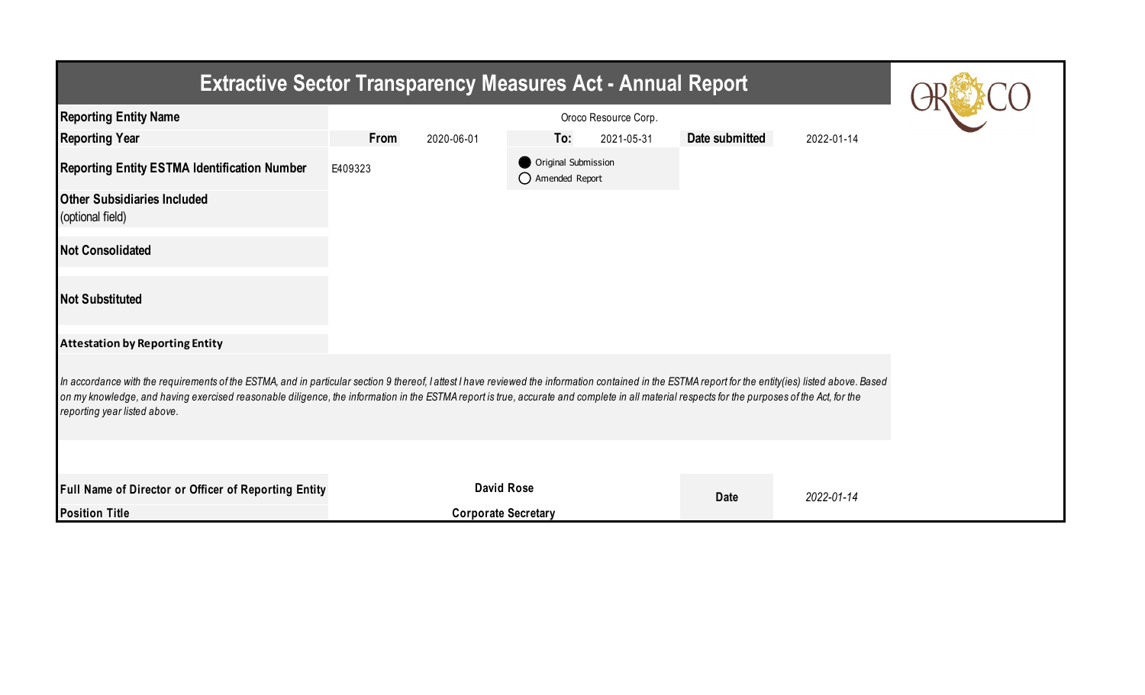| <b>Extractive Sector Transparency Measures Act - Annual Report</b>                                                                                                                                                                                                                                                                                                                                                                     |                            |                                         |                |            |  |  |  |  |
|----------------------------------------------------------------------------------------------------------------------------------------------------------------------------------------------------------------------------------------------------------------------------------------------------------------------------------------------------------------------------------------------------------------------------------------|----------------------------|-----------------------------------------|----------------|------------|--|--|--|--|
| <b>Reporting Entity Name</b>                                                                                                                                                                                                                                                                                                                                                                                                           | Oroco Resource Corp.       |                                         |                |            |  |  |  |  |
| <b>Reporting Year</b>                                                                                                                                                                                                                                                                                                                                                                                                                  | From<br>2020-06-01         | To:<br>2021-05-31                       | Date submitted | 2022-01-14 |  |  |  |  |
| <b>Reporting Entity ESTMA Identification Number</b>                                                                                                                                                                                                                                                                                                                                                                                    | E409323                    | Original Submission<br>◯ Amended Report |                |            |  |  |  |  |
| <b>Other Subsidiaries Included</b><br>(optional field)                                                                                                                                                                                                                                                                                                                                                                                 |                            |                                         |                |            |  |  |  |  |
| <b>Not Consolidated</b>                                                                                                                                                                                                                                                                                                                                                                                                                |                            |                                         |                |            |  |  |  |  |
| <b>Not Substituted</b>                                                                                                                                                                                                                                                                                                                                                                                                                 |                            |                                         |                |            |  |  |  |  |
| <b>Attestation by Reporting Entity</b>                                                                                                                                                                                                                                                                                                                                                                                                 |                            |                                         |                |            |  |  |  |  |
| In accordance with the requirements of the ESTMA, and in particular section 9 thereof, I attest I have reviewed the information contained in the ESTMA report for the entity (ies) listed above. Based<br>on my knowledge, and having exercised reasonable diligence, the information in the ESTMA report is true, accurate and complete in all material respects for the purposes of the Act, for the<br>reporting year listed above. |                            |                                         |                |            |  |  |  |  |
|                                                                                                                                                                                                                                                                                                                                                                                                                                        |                            |                                         |                |            |  |  |  |  |
| Full Name of Director or Officer of Reporting Entity                                                                                                                                                                                                                                                                                                                                                                                   | <b>David Rose</b>          |                                         | <b>Date</b>    | 2022-01-14 |  |  |  |  |
| <b>Position Title</b>                                                                                                                                                                                                                                                                                                                                                                                                                  | <b>Corporate Secretary</b> |                                         |                |            |  |  |  |  |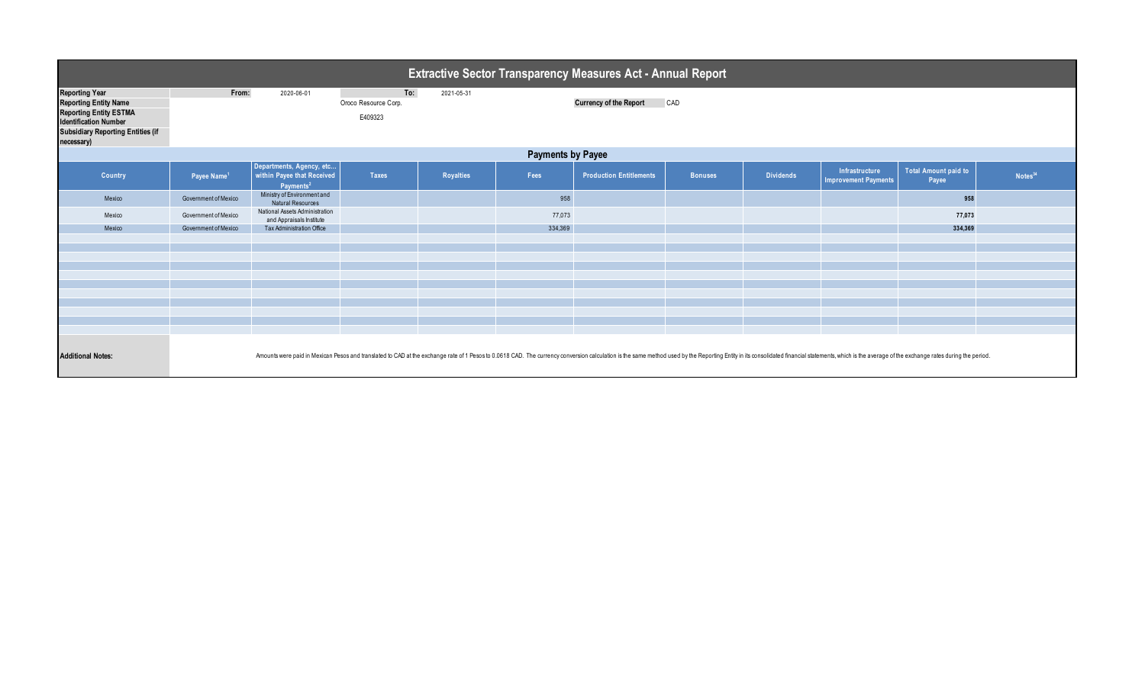|                                                                                                                                                                                  | <b>Extractive Sector Transparency Measures Act - Annual Report</b> |                                                                                 |                                        |            |                          |                                                                                                                                                                                                                                |                |                  |                                               |                                      |                     |
|----------------------------------------------------------------------------------------------------------------------------------------------------------------------------------|--------------------------------------------------------------------|---------------------------------------------------------------------------------|----------------------------------------|------------|--------------------------|--------------------------------------------------------------------------------------------------------------------------------------------------------------------------------------------------------------------------------|----------------|------------------|-----------------------------------------------|--------------------------------------|---------------------|
| <b>Reporting Year</b><br><b>Reporting Entity Name</b><br><b>Reporting Entity ESTMA</b><br><b>Identification Number</b><br><b>Subsidiary Reporting Entities (if</b><br>necessary) | From:                                                              | 2020-06-01                                                                      | To:<br>Oroco Resource Corp.<br>E409323 | 2021-05-31 |                          | <b>Currency of the Report</b>                                                                                                                                                                                                  | CAD            |                  |                                               |                                      |                     |
|                                                                                                                                                                                  |                                                                    |                                                                                 |                                        |            | <b>Payments by Payee</b> |                                                                                                                                                                                                                                |                |                  |                                               |                                      |                     |
| Country                                                                                                                                                                          | Payee Name <sup>1</sup>                                            | Departments, Agency, etc<br>within Payee that Received<br>Payments <sup>2</sup> | <b>Taxes</b>                           | Royalties  | Fees                     | <b>Production Entitlements</b>                                                                                                                                                                                                 | <b>Bonuses</b> | <b>Dividends</b> | Infrastructure<br><b>Improvement Payments</b> | <b>Total Amount paid to</b><br>Payee | Notes <sup>34</sup> |
| Mexico                                                                                                                                                                           | Government of Mexico                                               | Ministry of Environment and<br>Natural Resources                                |                                        |            | 958                      |                                                                                                                                                                                                                                |                |                  |                                               | 958                                  |                     |
| Mexico                                                                                                                                                                           | Government of Mexico                                               | National Assets Administration<br>and Appraisals Institute                      |                                        |            | 77,073                   |                                                                                                                                                                                                                                |                |                  |                                               | 77,073                               |                     |
| Mexico                                                                                                                                                                           | Government of Mexico                                               | Tax Administration Office                                                       |                                        |            | 334,369                  |                                                                                                                                                                                                                                |                |                  |                                               | 334,369                              |                     |
|                                                                                                                                                                                  |                                                                    |                                                                                 |                                        |            |                          |                                                                                                                                                                                                                                |                |                  |                                               |                                      |                     |
|                                                                                                                                                                                  |                                                                    |                                                                                 |                                        |            |                          |                                                                                                                                                                                                                                |                |                  |                                               |                                      |                     |
|                                                                                                                                                                                  |                                                                    |                                                                                 |                                        |            |                          |                                                                                                                                                                                                                                |                |                  |                                               |                                      |                     |
|                                                                                                                                                                                  |                                                                    |                                                                                 |                                        |            |                          |                                                                                                                                                                                                                                |                |                  |                                               |                                      |                     |
|                                                                                                                                                                                  |                                                                    |                                                                                 |                                        |            |                          |                                                                                                                                                                                                                                |                |                  |                                               |                                      |                     |
|                                                                                                                                                                                  |                                                                    |                                                                                 |                                        |            |                          |                                                                                                                                                                                                                                |                |                  |                                               |                                      |                     |
|                                                                                                                                                                                  |                                                                    |                                                                                 |                                        |            |                          |                                                                                                                                                                                                                                |                |                  |                                               |                                      |                     |
| <b>Additional Notes:</b>                                                                                                                                                         |                                                                    |                                                                                 |                                        |            |                          | Amounts were paid in Mexican Pesos and translated to CAD at the exchange rate of 1 Pesos to 0.0618 CAD. The currency conversion calculation is the same method used by the Reporting Entity in its consolidated financial stat |                |                  |                                               |                                      |                     |